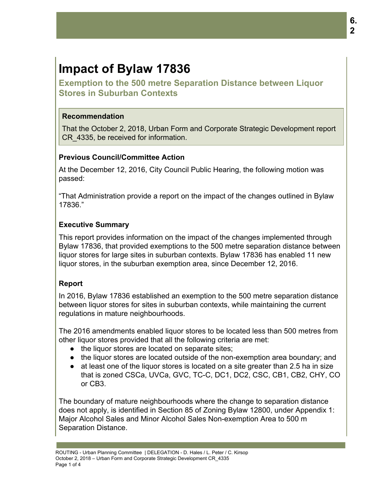# **Impact of Bylaw 17836**

**Exemption to the 500 metre Separation Distance between Liquor Stores in Suburban Contexts**

#### **Recommendation**

That the October 2, 2018, Urban Form and Corporate Strategic Development report CR\_4335, be received for information.

## **Previous Council/Committee Action**

At the December 12, 2016, City Council Public Hearing, the following motion was passed:

"That Administration provide a report on the impact of the changes outlined in Bylaw 17836."

## **Executive Summary**

This report provides information on the impact of the changes implemented through Bylaw 17836, that provided exemptions to the 500 metre separation distance between liquor stores for large sites in suburban contexts. Bylaw 17836 has enabled 11 new liquor stores, in the suburban exemption area, since December 12, 2016.

## **Report**

In 2016, Bylaw 17836 established an exemption to the 500 metre separation distance between liquor stores for sites in suburban contexts, while maintaining the current regulations in mature neighbourhoods.

The 2016 amendments enabled liquor stores to be located less than 500 metres from other liquor stores provided that all the following criteria are met:

- the liquor stores are located on separate sites;
- the liquor stores are located outside of the non-exemption area boundary; and
- at least one of the liquor stores is located on a site greater than 2.5 ha in size that is zoned CSCa, UVCa, GVC, TC-C, DC1, DC2, CSC, CB1, CB2, CHY, CO or CB3.

The boundary of mature neighbourhoods where the change to separation distance does not apply, is identified in Section 85 of Zoning Bylaw 12800, under Appendix 1: Major Alcohol Sales and Minor Alcohol Sales Non-exemption Area to 500 m Separation Distance.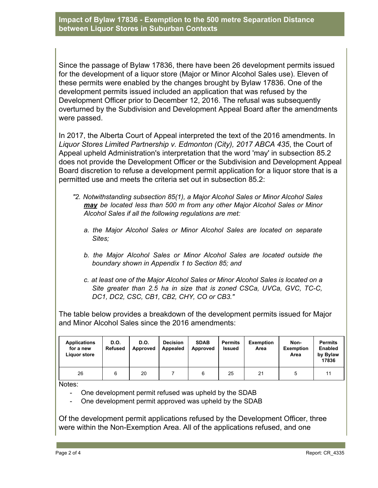**Impact of Bylaw 17836 - Exemption to the 500 metre Separation Distance between Liquor Stores in Suburban Contexts**

Since the passage of Bylaw 17836, there have been 26 development permits issued for the development of a liquor store (Major or Minor Alcohol Sales use). Eleven of these permits were enabled by the changes brought by Bylaw 17836. One of the development permits issued included an application that was refused by the Development Officer prior to December 12, 2016. The refusal was subsequently overturned by the Subdivision and Development Appeal Board after the amendments were passed.

In 2017, the Alberta Court of Appeal interpreted the text of the 2016 amendments. In *Liquor Stores Limited Partnership v. Edmonton (City), 2017 ABCA 435*, the Court of Appeal upheld Administration's interpretation that the word 'may' in subsection 85.2 does not provide the Development Officer or the Subdivision and Development Appeal Board discretion to refuse a development permit application for a liquor store that is a permitted use and meets the criteria set out in subsection 85.2:

- *"2. Notwithstanding subsection 85(1), a Major Alcohol Sales or Minor Alcohol Sales may be located less than 500 m from any other Major Alcohol Sales or Minor Alcohol Sales if all the following regulations are met:*
	- *a. the Major Alcohol Sales or Minor Alcohol Sales are located on separate Sites;*
	- *b. the Major Alcohol Sales or Minor Alcohol Sales are located outside the boundary shown in Appendix 1 to Section 85; and*
	- *c. at least one of the Major Alcohol Sales or Minor Alcohol Sales is located on a Site greater than 2.5 ha in size that is zoned CSCa, UVCa, GVC, TC-C, DC1, DC2, CSC, CB1, CB2, CHY, CO or CB3."*

The table below provides a breakdown of the development permits issued for Major and Minor Alcohol Sales since the 2016 amendments:

| <b>Applications</b><br>for a new<br>Liguor store | D.O.<br>Refused | D.O.<br>Approved | <b>Decision</b><br>Appealed | <b>SDAB</b><br>Approved | <b>Permits</b><br><b>Issued</b> | <b>Exemption</b><br>Area | Non-<br><b>Exemption</b><br>Area | <b>Permits</b><br><b>Enabled</b><br>by Bylaw<br>17836 |
|--------------------------------------------------|-----------------|------------------|-----------------------------|-------------------------|---------------------------------|--------------------------|----------------------------------|-------------------------------------------------------|
| 26                                               | 6               | 20               |                             | 6                       | 25                              | 21                       | 5                                |                                                       |

Notes:

- One development permit refused was upheld by the SDAB
- One development permit approved was upheld by the SDAB

Of the development permit applications refused by the Development Officer, three were within the Non-Exemption Area. All of the applications refused, and one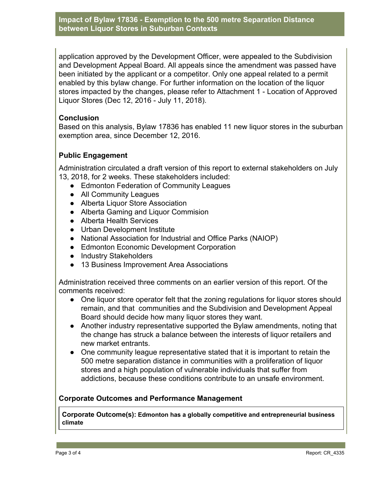**Impact of Bylaw 17836 - Exemption to the 500 metre Separation Distance between Liquor Stores in Suburban Contexts**

application approved by the Development Officer, were appealed to the Subdivision and Development Appeal Board. All appeals since the amendment was passed have been initiated by the applicant or a competitor. Only one appeal related to a permit enabled by this bylaw change. For further information on the location of the liquor stores impacted by the changes, please refer to Attachment 1 - Location of Approved Liquor Stores (Dec 12, 2016 - July 11, 2018).

#### **Conclusion**

Based on this analysis, Bylaw 17836 has enabled 11 new liquor stores in the suburban exemption area, since December 12, 2016.

#### **Public Engagement**

Administration circulated a draft version of this report to external stakeholders on July 13, 2018, for 2 weeks. These stakeholders included:

- Edmonton Federation of Community Leagues
- All Community Leagues
- Alberta Liquor Store Association
- Alberta Gaming and Liquor Commision
- Alberta Health Services
- Urban Development Institute
- National Association for Industrial and Office Parks (NAIOP)
- Edmonton Economic Development Corporation
- Industry Stakeholders
- 13 Business Improvement Area Associations

Administration received three comments on an earlier version of this report. Of the comments received:

- One liquor store operator felt that the zoning regulations for liquor stores should remain, and that communities and the Subdivision and Development Appeal Board should decide how many liquor stores they want.
- Another industry representative supported the Bylaw amendments, noting that the change has struck a balance between the interests of liquor retailers and new market entrants.
- One community league representative stated that it is important to retain the 500 metre separation distance in communities with a proliferation of liquor stores and a high population of vulnerable individuals that suffer from addictions, because these conditions contribute to an unsafe environment.

#### **Corporate Outcomes and Performance Management**

**Corporate Outcome(s): Edmonton has a globally competitive and entrepreneurial business climate**